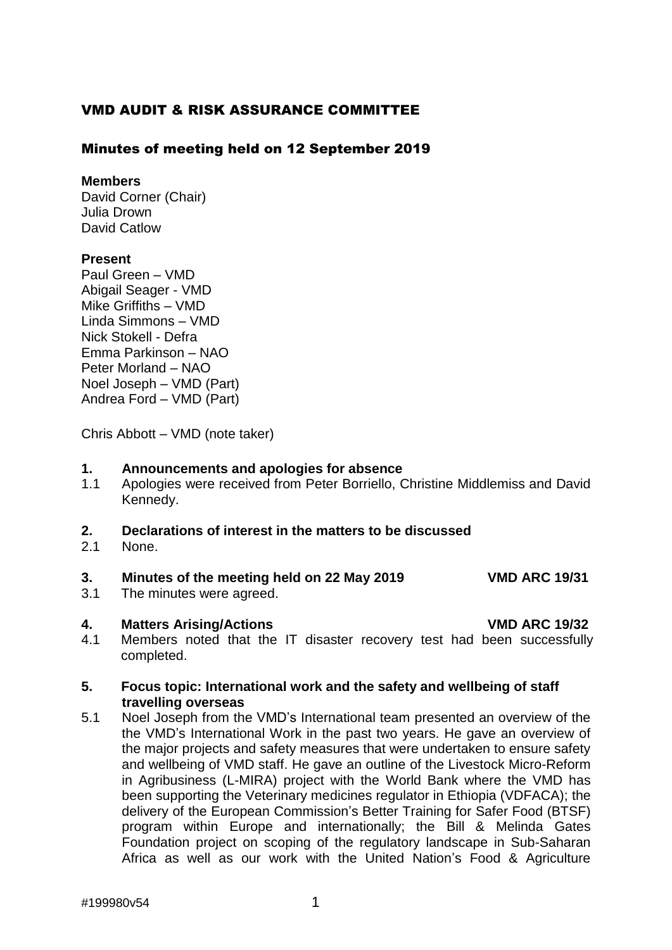# VMD AUDIT & RISK ASSURANCE COMMITTEE

# Minutes of meeting held on 12 September 2019

### **Members**

David Corner (Chair) Julia Drown David Catlow

# **Present**

Paul Green – VMD Abigail Seager - VMD Mike Griffiths – VMD Linda Simmons – VMD Nick Stokell - Defra Emma Parkinson – NAO Peter Morland – NAO Noel Joseph – VMD (Part) Andrea Ford – VMD (Part)

Chris Abbott – VMD (note taker)

### **1. Announcements and apologies for absence**

1.1 Apologies were received from Peter Borriello, Christine Middlemiss and David Kennedy.

# **2. Declarations of interest in the matters to be discussed**

2.1 None.

# **3. Minutes of the meeting held on 22 May 2019 VMD ARC 19/31**

3.1 The minutes were agreed.

#### **4. Matters Arising/Actions VMD ARC 19/32**

4.1 Members noted that the IT disaster recovery test had been successfully completed.

# **5. Focus topic: International work and the safety and wellbeing of staff travelling overseas**

5.1 Noel Joseph from the VMD's International team presented an overview of the the VMD's International Work in the past two years. He gave an overview of the major projects and safety measures that were undertaken to ensure safety and wellbeing of VMD staff. He gave an outline of the Livestock Micro-Reform in Agribusiness (L-MIRA) project with the World Bank where the VMD has been supporting the Veterinary medicines regulator in Ethiopia (VDFACA); the delivery of the European Commission's Better Training for Safer Food (BTSF) program within Europe and internationally; the Bill & Melinda Gates Foundation project on scoping of the regulatory landscape in Sub-Saharan Africa as well as our work with the United Nation's Food & Agriculture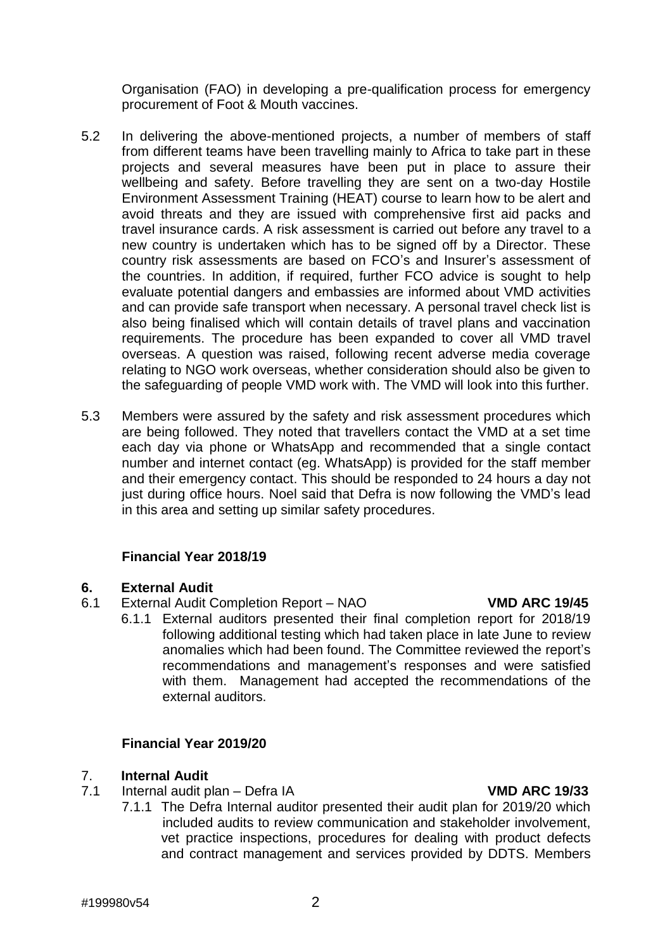Organisation (FAO) in developing a pre-qualification process for emergency procurement of Foot & Mouth vaccines.

- 5.2 In delivering the above-mentioned projects, a number of members of staff from different teams have been travelling mainly to Africa to take part in these projects and several measures have been put in place to assure their wellbeing and safety. Before travelling they are sent on a two-day Hostile Environment Assessment Training (HEAT) course to learn how to be alert and avoid threats and they are issued with comprehensive first aid packs and travel insurance cards. A risk assessment is carried out before any travel to a new country is undertaken which has to be signed off by a Director. These country risk assessments are based on FCO's and Insurer's assessment of the countries. In addition, if required, further FCO advice is sought to help evaluate potential dangers and embassies are informed about VMD activities and can provide safe transport when necessary. A personal travel check list is also being finalised which will contain details of travel plans and vaccination requirements. The procedure has been expanded to cover all VMD travel overseas. A question was raised, following recent adverse media coverage relating to NGO work overseas, whether consideration should also be given to the safeguarding of people VMD work with. The VMD will look into this further.
- 5.3 Members were assured by the safety and risk assessment procedures which are being followed. They noted that travellers contact the VMD at a set time each day via phone or WhatsApp and recommended that a single contact number and internet contact (eg. WhatsApp) is provided for the staff member and their emergency contact. This should be responded to 24 hours a day not just during office hours. Noel said that Defra is now following the VMD's lead in this area and setting up similar safety procedures.

# **Financial Year 2018/19**

# **6. External Audit**

- 6.1 External Audit Completion Report NAO **VMD ARC 19/45**
	- 6.1.1 External auditors presented their final completion report for 2018/19 following additional testing which had taken place in late June to review anomalies which had been found. The Committee reviewed the report's recommendations and management's responses and were satisfied with them. Management had accepted the recommendations of the external auditors.

# **Financial Year 2019/20**

# 7. **Internal Audit**

- 7.1 Internal audit plan Defra IA **VMD ARC 19/33**
	- 7.1.1 The Defra Internal auditor presented their audit plan for 2019/20 which included audits to review communication and stakeholder involvement, vet practice inspections, procedures for dealing with product defects and contract management and services provided by DDTS. Members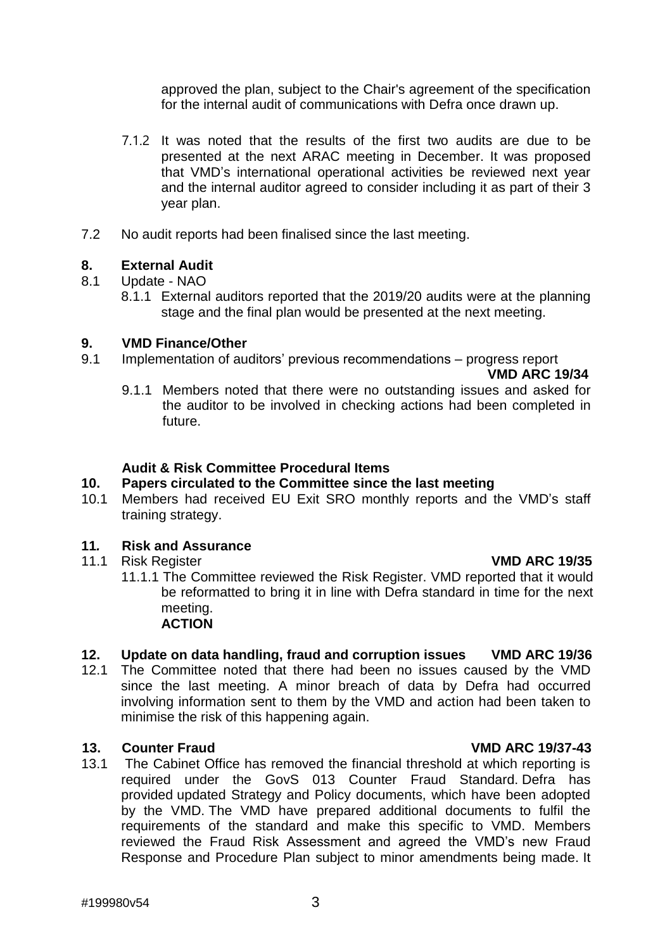approved the plan, subject to the Chair's agreement of the specification for the internal audit of communications with Defra once drawn up.

- 7.1.2 It was noted that the results of the first two audits are due to be presented at the next ARAC meeting in December. It was proposed that VMD's international operational activities be reviewed next year and the internal auditor agreed to consider including it as part of their 3 year plan.
- 7.2 No audit reports had been finalised since the last meeting.

### **8. External Audit**

- 8.1 Update NAO
	- 8.1.1 External auditors reported that the 2019/20 audits were at the planning stage and the final plan would be presented at the next meeting.

#### **9. VMD Finance/Other**

9.1 Implementation of auditors' previous recommendations – progress report

**VMD ARC 19/34**

9.1.1 Members noted that there were no outstanding issues and asked for the auditor to be involved in checking actions had been completed in future.

### **Audit & Risk Committee Procedural Items**

### **10. Papers circulated to the Committee since the last meeting**

10.1 Members had received EU Exit SRO monthly reports and the VMD's staff training strategy.

### **11***.* **Risk and Assurance**

# 11.1 Risk Register **VMD ARC 19/35**

11.1.1 The Committee reviewed the Risk Register. VMD reported that it would be reformatted to bring it in line with Defra standard in time for the next meeting. **ACTION**

# **12. Update on data handling, fraud and corruption issues VMD ARC 19/36**

12.1 The Committee noted that there had been no issues caused by the VMD since the last meeting. A minor breach of data by Defra had occurred involving information sent to them by the VMD and action had been taken to minimise the risk of this happening again.

#### **13. Counter Fraud VMD ARC 19/37-43**

13.1 The Cabinet Office has removed the financial threshold at which reporting is required under the GovS 013 Counter Fraud Standard. Defra has provided updated Strategy and Policy documents, which have been adopted by the VMD. The VMD have prepared additional documents to fulfil the requirements of the standard and make this specific to VMD. Members reviewed the Fraud Risk Assessment and agreed the VMD's new Fraud Response and Procedure Plan subject to minor amendments being made. It